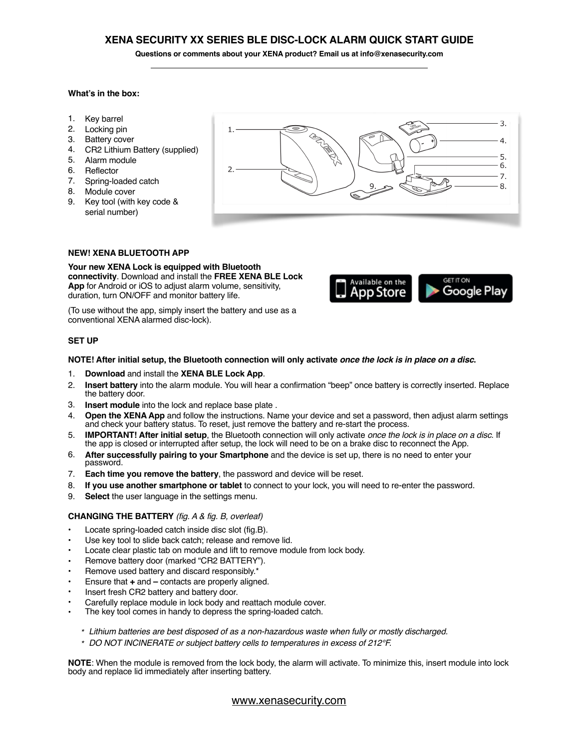# **XENA SECURITY XX SERIES BLE DISC-LOCK ALARM QUICK START GUIDE**

**Questions or comments about your XENA product? Email us at info@xenasecurity.com**

# **What's in the box:**

- 1. Key barrel
- 2. Locking pin
- 3. Battery cover
- 4. CR2 Lithium Battery (supplied)
- 5. Alarm module
- 6. Reflector
- 7. Spring-loaded catch
- 8. Module cover
- 9. Key tool (with key code & serial number)



Available on the

App Store

**GET IT ON** 

Google Play

# **NEW! XENA BLUETOOTH APP**

**Your new XENA Lock is equipped with Bluetooth connectivity**. Download and install the **FREE XENA BLE Lock App** for Android or iOS to adjust alarm volume, sensitivity, duration, turn ON/OFF and monitor battery life.

(To use without the app, simply insert the battery and use as a conventional XENA alarmed disc-lock).

# **SET UP**

# **NOTE! After initial setup, the Bluetooth connection will only activate** *once the lock is in place on a disc***.**

- 1. **Download** and install the **XENA BLE Lock App**.
- 2. **Insert battery** into the alarm module. You will hear a confirmation "beep" once battery is correctly inserted. Replace the battery door.
- 3. **Insert module** into the lock and replace base plate .
- 4. **Open the XENA App** and follow the instructions. Name your device and set a password, then adjust alarm settings and check your battery status. To reset, just remove the battery and re-start the process.
- 5. **IMPORTANT! After initial setup**, the Bluetooth connection will only activate *once the lock is in place on a disc*. If the app is closed or interrupted after setup, the lock will need to be on a brake disc to reconnect the App.
- 6. **After successfully pairing to your Smartphone** and the device is set up, there is no need to enter your password.
- 7. **Each time you remove the battery**, the password and device will be reset.
- 8. **If you use another smartphone or tablet** to connect to your lock, you will need to re-enter the password.
- 9. **Select** the user language in the settings menu.

# **CHANGING THE BATTERY** *(fig. A & fig. B, overleaf)*

- Locate spring-loaded catch inside disc slot (fig.B).
- Use key tool to slide back catch; release and remove lid.
- Locate clear plastic tab on module and lift to remove module from lock body.
- Remove battery door (marked "CR2 BATTERY").
- Remove used battery and discard responsibly.\*
- Ensure that **+** and **–** contacts are properly aligned.
- Insert fresh CR2 battery and battery door.
- Carefully replace module in lock body and reattach module cover.
- The key tool comes in handy to depress the spring-loaded catch.
	- *\* Lithium batteries are best disposed of as a non-hazardous waste when fully or mostly discharged.*
	- *\* DO NOT INCINERATE or subject battery cells to temperatures in excess of 212°F.*

**NOTE**: When the module is removed from the lock body, the alarm will activate. To minimize this, insert module into lock body and replace lid immediately after inserting battery.

[www.xenasecurity.com](http://www.xenasecurity.com)